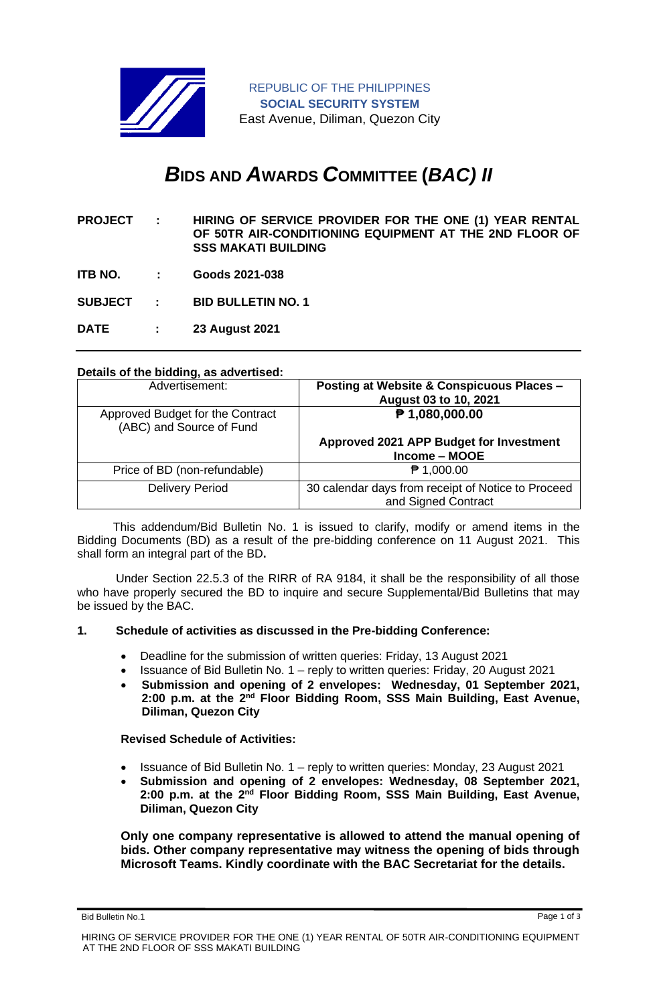

REPUBLIC OF THE PHILIPPINES **SOCIAL SECURITY SYSTEM** East Avenue, Diliman, Quezon City

# *B***IDS AND** *A***WARDS** *C***OMMITTEE (***BAC) II*

- **PROJECT : HIRING OF SERVICE PROVIDER FOR THE ONE (1) YEAR RENTAL OF 50TR AIR-CONDITIONING EQUIPMENT AT THE 2ND FLOOR OF SSS MAKATI BUILDING**
- **ITB NO. : Goods 2021-038**

**SUBJECT : BID BULLETIN NO. 1**

**DATE : 23 August 2021**

#### **Details of the bidding, as advertised:**

| Advertisement:                                               | Posting at Website & Conspicuous Places -<br>August 03 to 10, 2021        |
|--------------------------------------------------------------|---------------------------------------------------------------------------|
| Approved Budget for the Contract<br>(ABC) and Source of Fund | ₱ 1,080,000.00                                                            |
|                                                              | Approved 2021 APP Budget for Investment<br>Income - MOOE                  |
| Price of BD (non-refundable)                                 | $P$ 1,000.00                                                              |
| <b>Delivery Period</b>                                       | 30 calendar days from receipt of Notice to Proceed<br>and Signed Contract |

 This addendum/Bid Bulletin No. 1 is issued to clarify, modify or amend items in the Bidding Documents (BD) as a result of the pre-bidding conference on 11 August 2021. This shall form an integral part of the BD**.**

Under Section 22.5.3 of the RIRR of RA 9184, it shall be the responsibility of all those who have properly secured the BD to inquire and secure Supplemental/Bid Bulletins that may be issued by the BAC.

#### **1. Schedule of activities as discussed in the Pre-bidding Conference:**

- Deadline for the submission of written queries: Friday, 13 August 2021
- Issuance of Bid Bulletin No. 1 reply to written queries: Friday, 20 August 2021
- **Submission and opening of 2 envelopes: Wednesday, 01 September 2021,**  2:00 p.m. at the 2<sup>nd</sup> Floor Bidding Room, SSS Main Building, East Avenue, **Diliman, Quezon City**

#### **Revised Schedule of Activities:**

- Issuance of Bid Bulletin No. 1 reply to written queries: Monday, 23 August 2021
- **Submission and opening of 2 envelopes: Wednesday, 08 September 2021,**  2:00 p.m. at the 2<sup>nd</sup> Floor Bidding Room, SSS Main Building, East Avenue, **Diliman, Quezon City**

**Only one company representative is allowed to attend the manual opening of bids. Other company representative may witness the opening of bids through Microsoft Teams. Kindly coordinate with the BAC Secretariat for the details.**

Bid Bulletin No.1 Page 1 of 3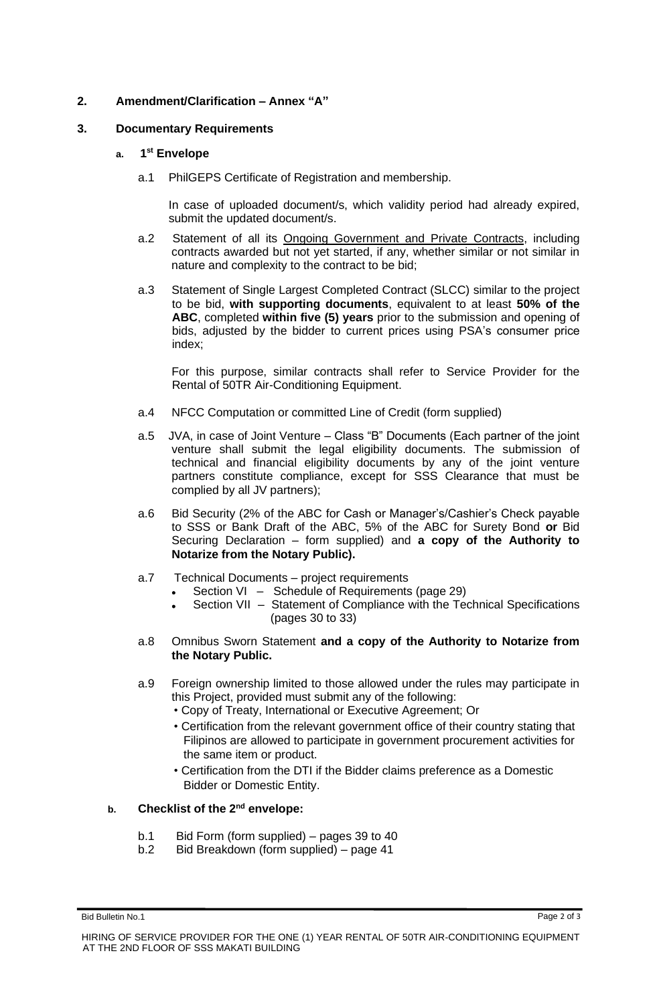## **2. Amendment/Clarification – Annex "A"**

# **3. Documentary Requirements**

# **a. 1 st Envelope**

a.1 PhilGEPS Certificate of Registration and membership.

In case of uploaded document/s, which validity period had already expired, submit the updated document/s.

- a.2 Statement of all its Ongoing Government and Private Contracts, including contracts awarded but not yet started, if any, whether similar or not similar in nature and complexity to the contract to be bid;
- a.3 Statement of Single Largest Completed Contract (SLCC) similar to the project to be bid, **with supporting documents**, equivalent to at least **50% of the ABC**, completed **within five (5) years** prior to the submission and opening of bids, adjusted by the bidder to current prices using PSA's consumer price index;

For this purpose, similar contracts shall refer to Service Provider for the Rental of 50TR Air-Conditioning Equipment.

- a.4 NFCC Computation or committed Line of Credit (form supplied)
- a.5 JVA, in case of Joint Venture Class "B" Documents (Each partner of the joint venture shall submit the legal eligibility documents. The submission of technical and financial eligibility documents by any of the joint venture partners constitute compliance, except for SSS Clearance that must be complied by all JV partners);
- a.6 Bid Security (2% of the ABC for Cash or Manager's/Cashier's Check payable to SSS or Bank Draft of the ABC, 5% of the ABC for Surety Bond **or** Bid Securing Declaration – form supplied) and **a copy of the Authority to Notarize from the Notary Public).**
- a.7 Technical Documents project requirements
	- Section VI Schedule of Requirements (page 29)
	- Section VII Statement of Compliance with the Technical Specifications (pages 30 to 33)
- a.8 Omnibus Sworn Statement **and a copy of the Authority to Notarize from the Notary Public.**
- a.9 Foreign ownership limited to those allowed under the rules may participate in this Project, provided must submit any of the following:
	- Copy of Treaty, International or Executive Agreement; Or
	- Certification from the relevant government office of their country stating that Filipinos are allowed to participate in government procurement activities for the same item or product.
	- Certification from the DTI if the Bidder claims preference as a Domestic Bidder or Domestic Entity.

## **b. Checklist of the 2nd envelope:**

- b.1 Bid Form (form supplied) pages 39 to 40
- b.2 Bid Breakdown (form supplied) page 41

Bid Bulletin No.1 Page 2 of 3